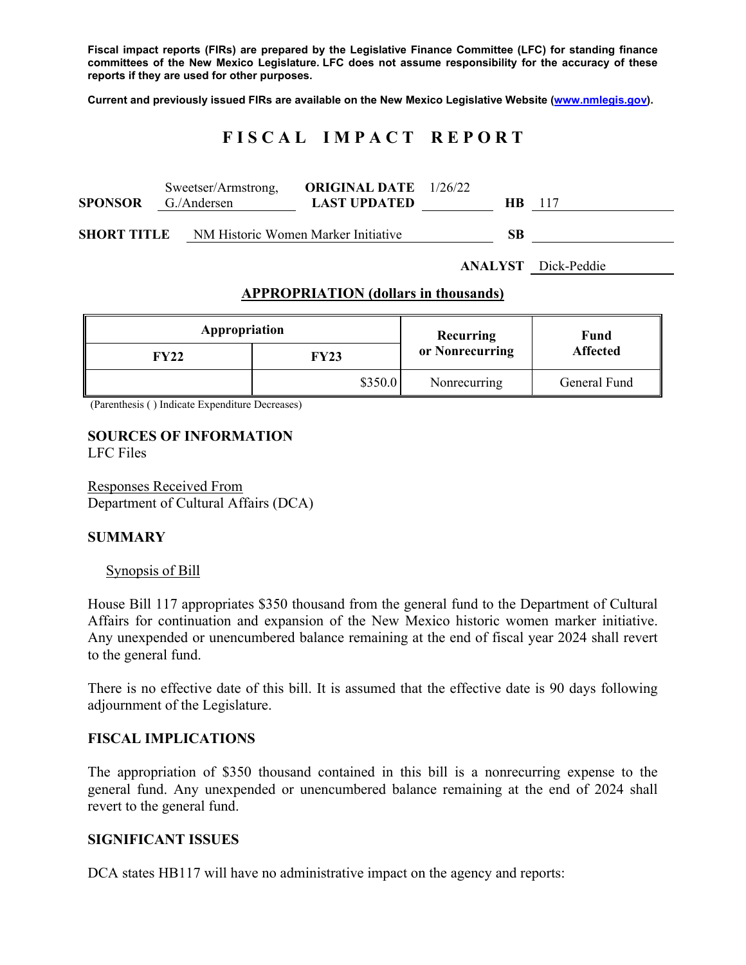**Fiscal impact reports (FIRs) are prepared by the Legislative Finance Committee (LFC) for standing finance committees of the New Mexico Legislature. LFC does not assume responsibility for the accuracy of these reports if they are used for other purposes.** 

**Current and previously issued FIRs are available on the New Mexico Legislative Website (www.nmlegis.gov).** 

# **F I S C A L I M P A C T R E P O R T**

| <b>SPONSOR</b>                                            | Sweetser/Armstrong,<br>G./Andersen | <b>ORIGINAL DATE</b> 1/26/22<br><b>LAST UPDATED</b> | HB. | -117 |
|-----------------------------------------------------------|------------------------------------|-----------------------------------------------------|-----|------|
| NM Historic Women Marker Initiative<br><b>SHORT TITLE</b> |                                    |                                                     | SВ  |      |

**ANALYST** Dick-Peddie

#### **APPROPRIATION (dollars in thousands)**

| Appropriation |         | Recurring       | Fund<br><b>Affected</b> |  |
|---------------|---------|-----------------|-------------------------|--|
| FY22          | FY23    | or Nonrecurring |                         |  |
|               | \$350.0 | Nonrecurring    | General Fund            |  |

(Parenthesis ( ) Indicate Expenditure Decreases)

#### **SOURCES OF INFORMATION**  LFC Files

Responses Received From Department of Cultural Affairs (DCA)

## **SUMMARY**

## Synopsis of Bill

House Bill 117 appropriates \$350 thousand from the general fund to the Department of Cultural Affairs for continuation and expansion of the New Mexico historic women marker initiative. Any unexpended or unencumbered balance remaining at the end of fiscal year 2024 shall revert to the general fund.

There is no effective date of this bill. It is assumed that the effective date is 90 days following adjournment of the Legislature.

## **FISCAL IMPLICATIONS**

The appropriation of \$350 thousand contained in this bill is a nonrecurring expense to the general fund. Any unexpended or unencumbered balance remaining at the end of 2024 shall revert to the general fund.

## **SIGNIFICANT ISSUES**

DCA states HB117 will have no administrative impact on the agency and reports: